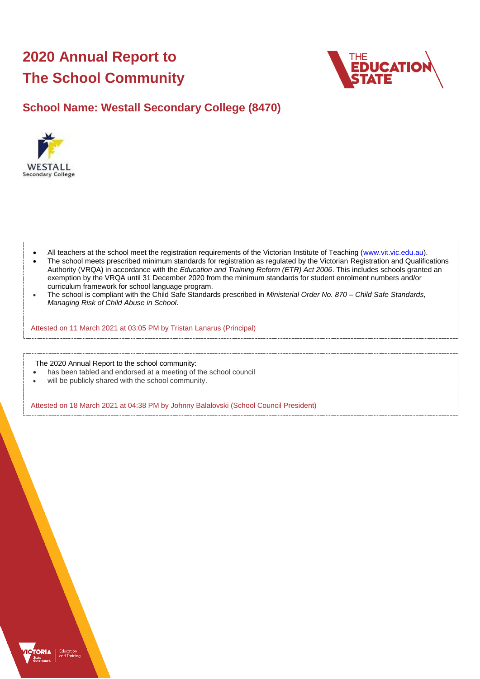# **2020 Annual Report to The School Community**



# **School Name: Westall Secondary College (8470)**



- All teachers at the school meet the registration requirements of the Victorian Institute of Teaching [\(www.vit.vic.edu.au\)](https://www.vit.vic.edu.au/).
- The school meets prescribed minimum standards for registration as regulated by the Victorian Registration and Qualifications Authority (VRQA) in accordance with the *Education and Training Reform (ETR) Act 2006*. This includes schools granted an exemption by the VRQA until 31 December 2020 from the minimum standards for student enrolment numbers and/or curriculum framework for school language program.
- The school is compliant with the Child Safe Standards prescribed in *Ministerial Order No. 870 – Child Safe Standards, Managing Risk of Child Abuse in School*.

Attested on 11 March 2021 at 03:05 PM by Tristan Lanarus (Principal)

The 2020 Annual Report to the school community:

- has been tabled and endorsed at a meeting of the school council
- will be publicly shared with the school community.

Attested on 18 March 2021 at 04:38 PM by Johnny Balalovski (School Council President)

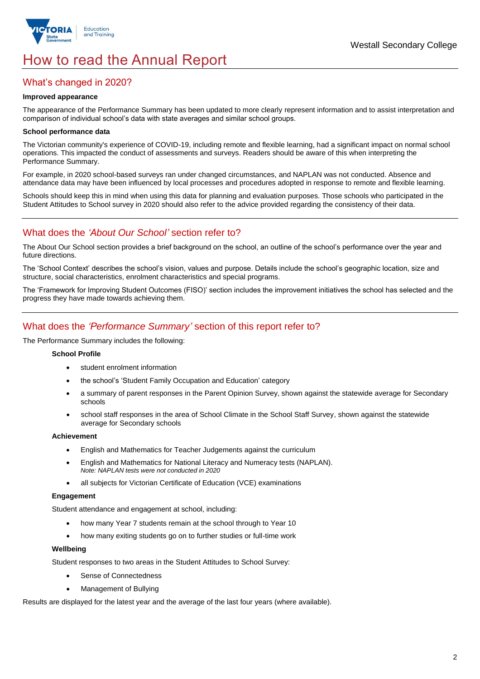

# How to read the Annual Report

## What's changed in 2020?

### **Improved appearance**

The appearance of the Performance Summary has been updated to more clearly represent information and to assist interpretation and comparison of individual school's data with state averages and similar school groups.

### **School performance data**

The Victorian community's experience of COVID-19, including remote and flexible learning, had a significant impact on normal school operations. This impacted the conduct of assessments and surveys. Readers should be aware of this when interpreting the Performance Summary.

For example, in 2020 school-based surveys ran under changed circumstances, and NAPLAN was not conducted. Absence and attendance data may have been influenced by local processes and procedures adopted in response to remote and flexible learning.

Schools should keep this in mind when using this data for planning and evaluation purposes. Those schools who participated in the Student Attitudes to School survey in 2020 should also refer to the advice provided regarding the consistency of their data.

## What does the *'About Our School'* section refer to?

The About Our School section provides a brief background on the school, an outline of the school's performance over the year and future directions.

The 'School Context' describes the school's vision, values and purpose. Details include the school's geographic location, size and structure, social characteristics, enrolment characteristics and special programs.

The 'Framework for Improving Student Outcomes (FISO)' section includes the improvement initiatives the school has selected and the progress they have made towards achieving them.

## What does the *'Performance Summary'* section of this report refer to?

The Performance Summary includes the following:

#### **School Profile**

- student enrolment information
- the school's 'Student Family Occupation and Education' category
- a summary of parent responses in the Parent Opinion Survey, shown against the statewide average for Secondary schools
- school staff responses in the area of School Climate in the School Staff Survey, shown against the statewide average for Secondary schools

#### **Achievement**

- English and Mathematics for Teacher Judgements against the curriculum
- English and Mathematics for National Literacy and Numeracy tests (NAPLAN). *Note: NAPLAN tests were not conducted in 2020*
- all subjects for Victorian Certificate of Education (VCE) examinations

#### **Engagement**

Student attendance and engagement at school, including:

- how many Year 7 students remain at the school through to Year 10
- how many exiting students go on to further studies or full-time work

#### **Wellbeing**

Student responses to two areas in the Student Attitudes to School Survey:

- Sense of Connectedness
- Management of Bullying

Results are displayed for the latest year and the average of the last four years (where available).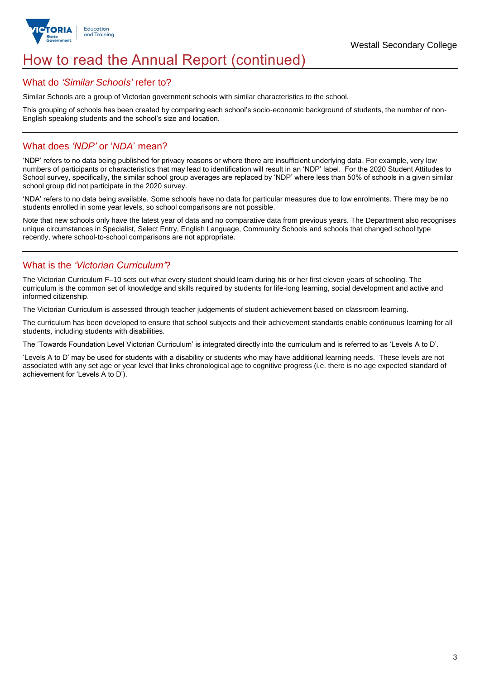

# How to read the Annual Report (continued)

### What do *'Similar Schools'* refer to?

Similar Schools are a group of Victorian government schools with similar characteristics to the school.

This grouping of schools has been created by comparing each school's socio-economic background of students, the number of non-English speaking students and the school's size and location.

## What does *'NDP'* or '*NDA*' mean?

'NDP' refers to no data being published for privacy reasons or where there are insufficient underlying data. For example, very low numbers of participants or characteristics that may lead to identification will result in an 'NDP' label. For the 2020 Student Attitudes to School survey, specifically, the similar school group averages are replaced by 'NDP' where less than 50% of schools in a given similar school group did not participate in the 2020 survey.

'NDA' refers to no data being available. Some schools have no data for particular measures due to low enrolments. There may be no students enrolled in some year levels, so school comparisons are not possible.

Note that new schools only have the latest year of data and no comparative data from previous years. The Department also recognises unique circumstances in Specialist, Select Entry, English Language, Community Schools and schools that changed school type recently, where school-to-school comparisons are not appropriate.

# What is the *'Victorian Curriculum'*?

The Victorian Curriculum F–10 sets out what every student should learn during his or her first eleven years of schooling. The curriculum is the common set of knowledge and skills required by students for life-long learning, social development and active and informed citizenship.

The Victorian Curriculum is assessed through teacher judgements of student achievement based on classroom learning.

The curriculum has been developed to ensure that school subjects and their achievement standards enable continuous learning for all students, including students with disabilities.

The 'Towards Foundation Level Victorian Curriculum' is integrated directly into the curriculum and is referred to as 'Levels A to D'.

'Levels A to D' may be used for students with a disability or students who may have additional learning needs. These levels are not associated with any set age or year level that links chronological age to cognitive progress (i.e. there is no age expected standard of achievement for 'Levels A to D').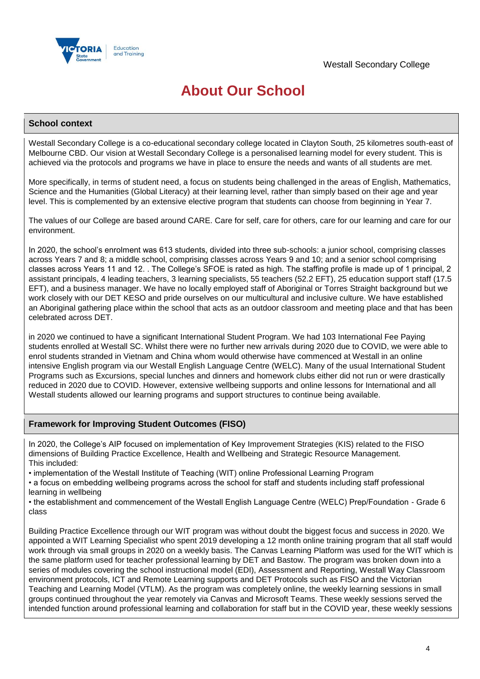

# **About Our School**

### **School context**

Westall Secondary College is a co-educational secondary college located in Clayton South, 25 kilometres south-east of Melbourne CBD. Our vision at Westall Secondary College is a personalised learning model for every student. This is achieved via the protocols and programs we have in place to ensure the needs and wants of all students are met.

More specifically, in terms of student need, a focus on students being challenged in the areas of English, Mathematics, Science and the Humanities (Global Literacy) at their learning level, rather than simply based on their age and year level. This is complemented by an extensive elective program that students can choose from beginning in Year 7.

The values of our College are based around CARE. Care for self, care for others, care for our learning and care for our environment.

In 2020, the school's enrolment was 613 students, divided into three sub-schools: a junior school, comprising classes across Years 7 and 8; a middle school, comprising classes across Years 9 and 10; and a senior school comprising classes across Years 11 and 12. . The College's SFOE is rated as high. The staffing profile is made up of 1 principal, 2 assistant principals, 4 leading teachers, 3 learning specialists, 55 teachers (52.2 EFT), 25 education support staff (17.5 EFT), and a business manager. We have no locally employed staff of Aboriginal or Torres Straight background but we work closely with our DET KESO and pride ourselves on our multicultural and inclusive culture. We have established an Aboriginal gathering place within the school that acts as an outdoor classroom and meeting place and that has been celebrated across DET.

in 2020 we continued to have a significant International Student Program. We had 103 International Fee Paying students enrolled at Westall SC. Whilst there were no further new arrivals during 2020 due to COVID, we were able to enrol students stranded in Vietnam and China whom would otherwise have commenced at Westall in an online intensive English program via our Westall English Language Centre (WELC). Many of the usual International Student Programs such as Excursions, special lunches and dinners and homework clubs either did not run or were drastically reduced in 2020 due to COVID. However, extensive wellbeing supports and online lessons for International and all Westall students allowed our learning programs and support structures to continue being available.

### **Framework for Improving Student Outcomes (FISO)**

In 2020, the College's AIP focused on implementation of Key Improvement Strategies (KIS) related to the FISO dimensions of Building Practice Excellence, Health and Wellbeing and Strategic Resource Management. This included:

• implementation of the Westall Institute of Teaching (WIT) online Professional Learning Program

• a focus on embedding wellbeing programs across the school for staff and students including staff professional learning in wellbeing

• the establishment and commencement of the Westall English Language Centre (WELC) Prep/Foundation - Grade 6 class

Building Practice Excellence through our WIT program was without doubt the biggest focus and success in 2020. We appointed a WIT Learning Specialist who spent 2019 developing a 12 month online training program that all staff would work through via small groups in 2020 on a weekly basis. The Canvas Learning Platform was used for the WIT which is the same platform used for teacher professional learning by DET and Bastow. The program was broken down into a series of modules covering the school instructional model (EDI), Assessment and Reporting, Westall Way Classroom environment protocols, ICT and Remote Learning supports and DET Protocols such as FISO and the Victorian Teaching and Learning Model (VTLM). As the program was completely online, the weekly learning sessions in small groups continued throughout the year remotely via Canvas and Microsoft Teams. These weekly sessions served the intended function around professional learning and collaboration for staff but in the COVID year, these weekly sessions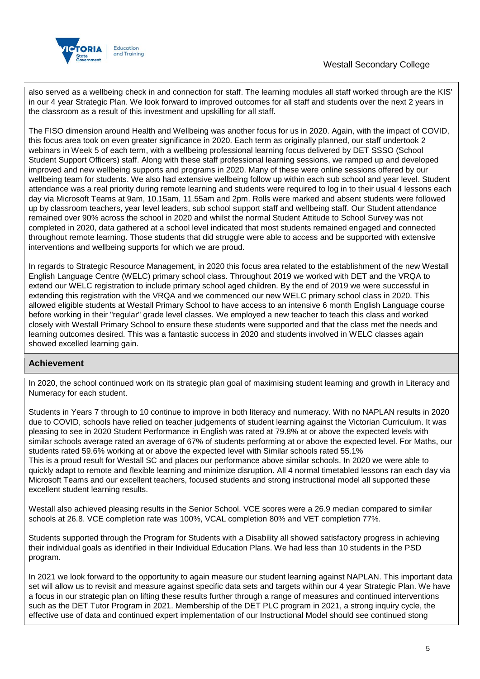

also served as a wellbeing check in and connection for staff. The learning modules all staff worked through are the KIS' in our 4 year Strategic Plan. We look forward to improved outcomes for all staff and students over the next 2 years in the classroom as a result of this investment and upskilling for all staff.

The FISO dimension around Health and Wellbeing was another focus for us in 2020. Again, with the impact of COVID, this focus area took on even greater significance in 2020. Each term as originally planned, our staff undertook 2 webinars in Week 5 of each term, with a wellbeing professional learning focus delivered by DET SSSO (School Student Support Officers) staff. Along with these staff professional learning sessions, we ramped up and developed improved and new wellbeing supports and programs in 2020. Many of these were online sessions offered by our wellbeing team for students. We also had extensive wellbeing follow up within each sub school and year level. Student attendance was a real priority during remote learning and students were required to log in to their usual 4 lessons each day via Microsoft Teams at 9am, 10.15am, 11.55am and 2pm. Rolls were marked and absent students were followed up by classroom teachers, year level leaders, sub school support staff and wellbeing staff. Our Student attendance remained over 90% across the school in 2020 and whilst the normal Student Attitude to School Survey was not completed in 2020, data gathered at a school level indicated that most students remained engaged and connected throughout remote learning. Those students that did struggle were able to access and be supported with extensive interventions and wellbeing supports for which we are proud.

In regards to Strategic Resource Management, in 2020 this focus area related to the establishment of the new Westall English Language Centre (WELC) primary school class. Throughout 2019 we worked with DET and the VRQA to extend our WELC registration to include primary school aged children. By the end of 2019 we were successful in extending this registration with the VRQA and we commenced our new WELC primary school class in 2020. This allowed eligible students at Westall Primary School to have access to an intensive 6 month English Language course before working in their "regular" grade level classes. We employed a new teacher to teach this class and worked closely with Westall Primary School to ensure these students were supported and that the class met the needs and learning outcomes desired. This was a fantastic success in 2020 and students involved in WELC classes again showed excelled learning gain.

### **Achievement**

In 2020, the school continued work on its strategic plan goal of maximising student learning and growth in Literacy and Numeracy for each student.

Students in Years 7 through to 10 continue to improve in both literacy and numeracy. With no NAPLAN results in 2020 due to COVID, schools have relied on teacher judgements of student learning against the Victorian Curriculum. It was pleasing to see in 2020 Student Performance in English was rated at 79.8% at or above the expected levels with similar schools average rated an average of 67% of students performing at or above the expected level. For Maths, our students rated 59.6% working at or above the expected level with Similar schools rated 55.1% This is a proud result for Westall SC and places our performance above similar schools. In 2020 we were able to quickly adapt to remote and flexible learning and minimize disruption. All 4 normal timetabled lessons ran each day via

Microsoft Teams and our excellent teachers, focused students and strong instructional model all supported these excellent student learning results.

Westall also achieved pleasing results in the Senior School. VCE scores were a 26.9 median compared to similar schools at 26.8. VCE completion rate was 100%, VCAL completion 80% and VET completion 77%.

Students supported through the Program for Students with a Disability all showed satisfactory progress in achieving their individual goals as identified in their Individual Education Plans. We had less than 10 students in the PSD program.

In 2021 we look forward to the opportunity to again measure our student learning against NAPLAN. This important data set will allow us to revisit and measure against specific data sets and targets within our 4 year Strategic Plan. We have a focus in our strategic plan on lifting these results further through a range of measures and continued interventions such as the DET Tutor Program in 2021. Membership of the DET PLC program in 2021, a strong inquiry cycle, the effective use of data and continued expert implementation of our Instructional Model should see continued stong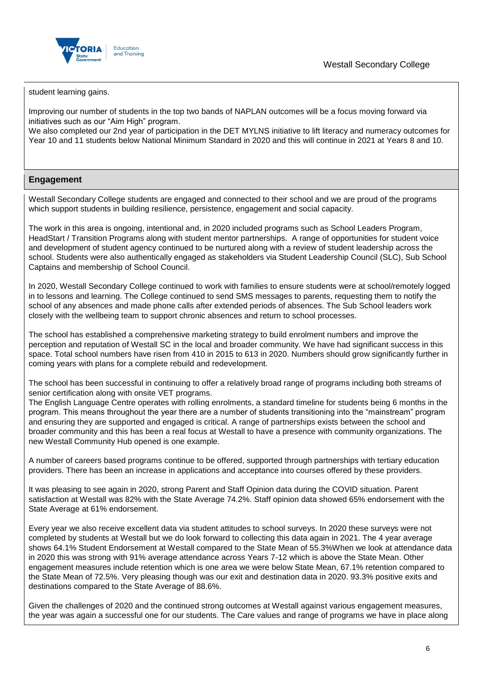

student learning gains.

Improving our number of students in the top two bands of NAPLAN outcomes will be a focus moving forward via initiatives such as our "Aim High" program.

We also completed our 2nd year of participation in the DET MYLNS initiative to lift literacy and numeracy outcomes for Year 10 and 11 students below National Minimum Standard in 2020 and this will continue in 2021 at Years 8 and 10.

## **Engagement**

Westall Secondary College students are engaged and connected to their school and we are proud of the programs which support students in building resilience, persistence, engagement and social capacity.

The work in this area is ongoing, intentional and, in 2020 included programs such as School Leaders Program, HeadStart / Transition Programs along with student mentor partnerships. A range of opportunities for student voice and development of student agency continued to be nurtured along with a review of student leadership across the school. Students were also authentically engaged as stakeholders via Student Leadership Council (SLC), Sub School Captains and membership of School Council.

In 2020, Westall Secondary College continued to work with families to ensure students were at school/remotely logged in to lessons and learning. The College continued to send SMS messages to parents, requesting them to notify the school of any absences and made phone calls after extended periods of absences. The Sub School leaders work closely with the wellbeing team to support chronic absences and return to school processes.

The school has established a comprehensive marketing strategy to build enrolment numbers and improve the perception and reputation of Westall SC in the local and broader community. We have had significant success in this space. Total school numbers have risen from 410 in 2015 to 613 in 2020. Numbers should grow significantly further in coming years with plans for a complete rebuild and redevelopment.

The school has been successful in continuing to offer a relatively broad range of programs including both streams of senior certification along with onsite VET programs.

The English Language Centre operates with rolling enrolments, a standard timeline for students being 6 months in the program. This means throughout the year there are a number of students transitioning into the "mainstream" program and ensuring they are supported and engaged is critical. A range of partnerships exists between the school and broader community and this has been a real focus at Westall to have a presence with community organizations. The new Westall Community Hub opened is one example.

A number of careers based programs continue to be offered, supported through partnerships with tertiary education providers. There has been an increase in applications and acceptance into courses offered by these providers.

It was pleasing to see again in 2020, strong Parent and Staff Opinion data during the COVID situation. Parent satisfaction at Westall was 82% with the State Average 74.2%. Staff opinion data showed 65% endorsement with the State Average at 61% endorsement.

Every year we also receive excellent data via student attitudes to school surveys. In 2020 these surveys were not completed by students at Westall but we do look forward to collecting this data again in 2021. The 4 year average shows 64.1% Student Endorsement at Westall compared to the State Mean of 55.3%When we look at attendance data in 2020 this was strong with 91% average attendance across Years 7-12 which is above the State Mean. Other engagement measures include retention which is one area we were below State Mean, 67.1% retention compared to the State Mean of 72.5%. Very pleasing though was our exit and destination data in 2020. 93.3% positive exits and destinations compared to the State Average of 88.6%.

Given the challenges of 2020 and the continued strong outcomes at Westall against various engagement measures, the year was again a successful one for our students. The Care values and range of programs we have in place along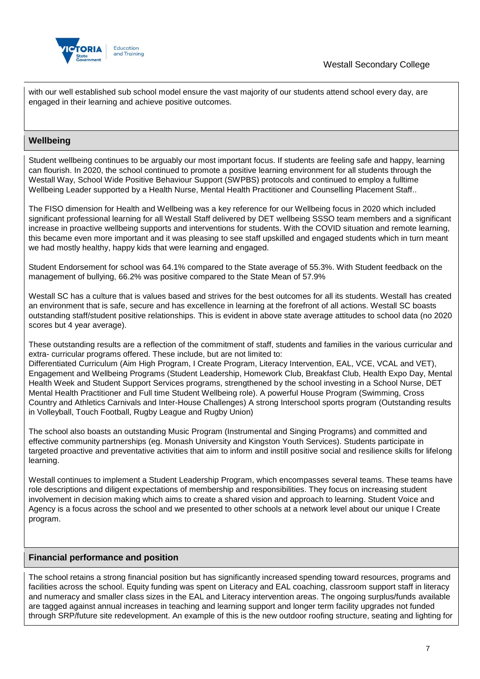



with our well established sub school model ensure the vast majority of our students attend school every day, are engaged in their learning and achieve positive outcomes.

## **Wellbeing**

Student wellbeing continues to be arguably our most important focus. If students are feeling safe and happy, learning can flourish. In 2020, the school continued to promote a positive learning environment for all students through the Westall Way, School Wide Positive Behaviour Support (SWPBS) protocols and continued to employ a fulltime Wellbeing Leader supported by a Health Nurse, Mental Health Practitioner and Counselling Placement Staff..

The FISO dimension for Health and Wellbeing was a key reference for our Wellbeing focus in 2020 which included significant professional learning for all Westall Staff delivered by DET wellbeing SSSO team members and a significant increase in proactive wellbeing supports and interventions for students. With the COVID situation and remote learning, this became even more important and it was pleasing to see staff upskilled and engaged students which in turn meant we had mostly healthy, happy kids that were learning and engaged.

Student Endorsement for school was 64.1% compared to the State average of 55.3%. With Student feedback on the management of bullying, 66.2% was positive compared to the State Mean of 57.9%

Westall SC has a culture that is values based and strives for the best outcomes for all its students. Westall has created an environment that is safe, secure and has excellence in learning at the forefront of all actions. Westall SC boasts outstanding staff/student positive relationships. This is evident in above state average attitudes to school data (no 2020 scores but 4 year average).

These outstanding results are a reflection of the commitment of staff, students and families in the various curricular and extra- curricular programs offered. These include, but are not limited to:

Differentiated Curriculum (Aim High Program, I Create Program, Literacy Intervention, EAL, VCE, VCAL and VET), Engagement and Wellbeing Programs (Student Leadership, Homework Club, Breakfast Club, Health Expo Day, Mental Health Week and Student Support Services programs, strengthened by the school investing in a School Nurse, DET Mental Health Practitioner and Full time Student Wellbeing role). A powerful House Program (Swimming, Cross Country and Athletics Carnivals and Inter-House Challenges) A strong Interschool sports program (Outstanding results in Volleyball, Touch Football, Rugby League and Rugby Union)

The school also boasts an outstanding Music Program (Instrumental and Singing Programs) and committed and effective community partnerships (eg. Monash University and Kingston Youth Services). Students participate in targeted proactive and preventative activities that aim to inform and instill positive social and resilience skills for lifelong learning.

Westall continues to implement a Student Leadership Program, which encompasses several teams. These teams have role descriptions and diligent expectations of membership and responsibilities. They focus on increasing student involvement in decision making which aims to create a shared vision and approach to learning. Student Voice and Agency is a focus across the school and we presented to other schools at a network level about our unique I Create program.

### **Financial performance and position**

The school retains a strong financial position but has significantly increased spending toward resources, programs and facilities across the school. Equity funding was spent on Literacy and EAL coaching, classroom support staff in literacy and numeracy and smaller class sizes in the EAL and Literacy intervention areas. The ongoing surplus/funds available are tagged against annual increases in teaching and learning support and longer term facility upgrades not funded through SRP/future site redevelopment. An example of this is the new outdoor roofing structure, seating and lighting for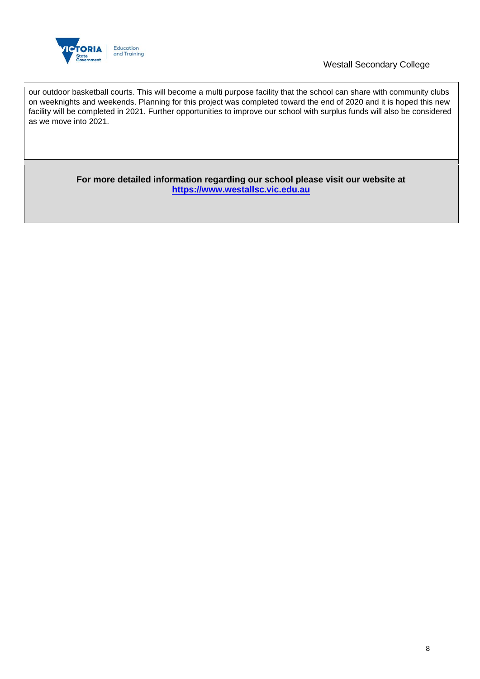

## Westall Secondary College

our outdoor basketball courts. This will become a multi purpose facility that the school can share with community clubs on weeknights and weekends. Planning for this project was completed toward the end of 2020 and it is hoped this new facility will be completed in 2021. Further opportunities to improve our school with surplus funds will also be considered as we move into 2021.

> **For more detailed information regarding our school please visit our website at [https://www.westallsc.vic.edu.au](https://www.westallsc.vic.edu.au/)**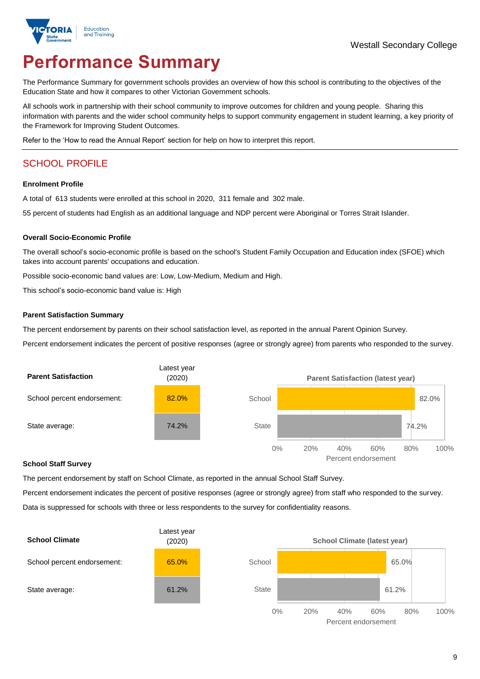

# **Performance Summary**

The Performance Summary for government schools provides an overview of how this school is contributing to the objectives of the Education State and how it compares to other Victorian Government schools.

All schools work in partnership with their school community to improve outcomes for children and young people. Sharing this information with parents and the wider school community helps to support community engagement in student learning, a key priority of the Framework for Improving Student Outcomes.

Refer to the 'How to read the Annual Report' section for help on how to interpret this report.

# SCHOOL PROFILE

### **Enrolment Profile**

A total of 613 students were enrolled at this school in 2020, 311 female and 302 male.

55 percent of students had English as an additional language and NDP percent were Aboriginal or Torres Strait Islander.

### **Overall Socio-Economic Profile**

The overall school's socio-economic profile is based on the school's Student Family Occupation and Education index (SFOE) which takes into account parents' occupations and education.

Possible socio-economic band values are: Low, Low-Medium, Medium and High.

This school's socio-economic band value is: High

### **Parent Satisfaction Summary**

The percent endorsement by parents on their school satisfaction level, as reported in the annual Parent Opinion Survey.

Percent endorsement indicates the percent of positive responses (agree or strongly agree) from parents who responded to the survey.



#### **School Staff Survey**

The percent endorsement by staff on School Climate, as reported in the annual School Staff Survey.

Percent endorsement indicates the percent of positive responses (agree or strongly agree) from staff who responded to the survey. Data is suppressed for schools with three or less respondents to the survey for confidentiality reasons.



Percent endorsement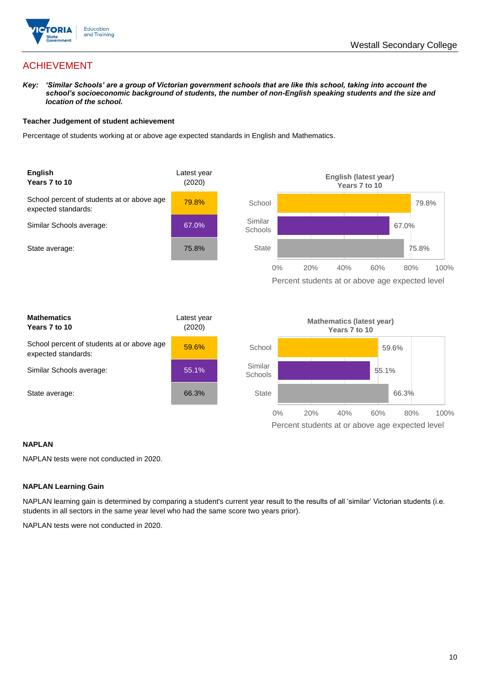

# ACHIEVEMENT

*Key: 'Similar Schools' are a group of Victorian government schools that are like this school, taking into account the school's socioeconomic background of students, the number of non-English speaking students and the size and location of the school.*

### **Teacher Judgement of student achievement**

Percentage of students working at or above age expected standards in English and Mathematics.



### **NAPLAN**

NAPLAN tests were not conducted in 2020.

### **NAPLAN Learning Gain**

NAPLAN learning gain is determined by comparing a student's current year result to the results of all 'similar' Victorian students (i.e. students in all sectors in the same year level who had the same score two years prior).

NAPLAN tests were not conducted in 2020.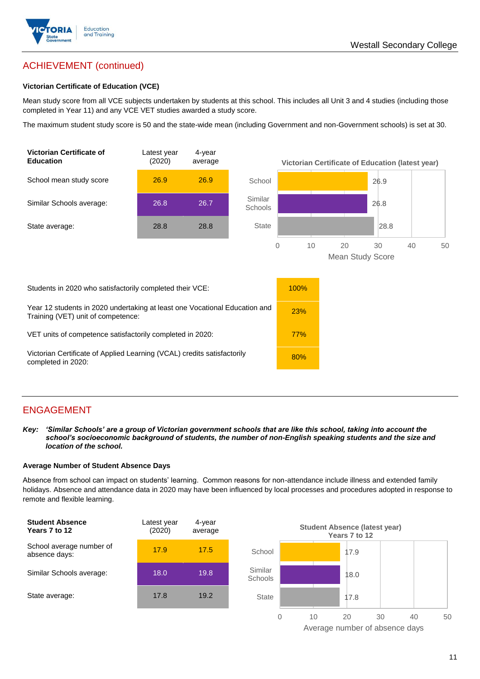

# ACHIEVEMENT (continued)

### **Victorian Certificate of Education (VCE)**

Mean study score from all VCE subjects undertaken by students at this school. This includes all Unit 3 and 4 studies (including those completed in Year 11) and any VCE VET studies awarded a study score.

The maximum student study score is 50 and the state-wide mean (including Government and non-Government schools) is set at 30.



# ENGAGEMENT

*Key: 'Similar Schools' are a group of Victorian government schools that are like this school, taking into account the school's socioeconomic background of students, the number of non-English speaking students and the size and location of the school.*

### **Average Number of Student Absence Days**

Absence from school can impact on students' learning. Common reasons for non-attendance include illness and extended family holidays. Absence and attendance data in 2020 may have been influenced by local processes and procedures adopted in response to remote and flexible learning.



Average number of absence days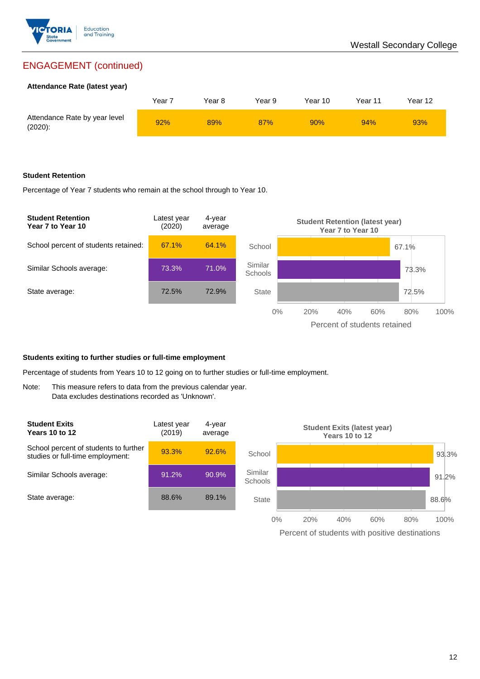

# ENGAGEMENT (continued)

### **Attendance Rate (latest year)**

|                                             | Year <sup>:</sup> | Year 8 | Year 9 | Year 10 | Year 11 | Year 12 |
|---------------------------------------------|-------------------|--------|--------|---------|---------|---------|
| Attendance Rate by year level<br>$(2020)$ : | 92%               | 89%    | 87%    | 90%     | 94%     | 93%     |

### **Student Retention**

Percentage of Year 7 students who remain at the school through to Year 10.



### **Students exiting to further studies or full-time employment**

Percentage of students from Years 10 to 12 going on to further studies or full-time employment.

Note: This measure refers to data from the previous calendar year. Data excludes destinations recorded as 'Unknown'.

| <b>Student Exits</b><br><b>Years 10 to 12</b>                             | Latest year<br>(2019) | 4-year<br>average |                           | <b>Student Exits (latest year)</b> | Years 10 to 12 |     |     |       |
|---------------------------------------------------------------------------|-----------------------|-------------------|---------------------------|------------------------------------|----------------|-----|-----|-------|
| School percent of students to further<br>studies or full-time employment: | 93.3%                 | 92.6%             | School                    |                                    |                |     |     | 93.3% |
| Similar Schools average:                                                  | 91.2%                 | 90.9%             | Similar<br><b>Schools</b> |                                    |                |     |     | 91.2% |
| State average:                                                            | 88.6%                 | 89.1%             | <b>State</b>              |                                    |                |     |     | 88.6% |
|                                                                           |                       |                   | 0%                        | 20%                                | 40%            | 60% | 80% | 100%  |

Percent of students with positive destinations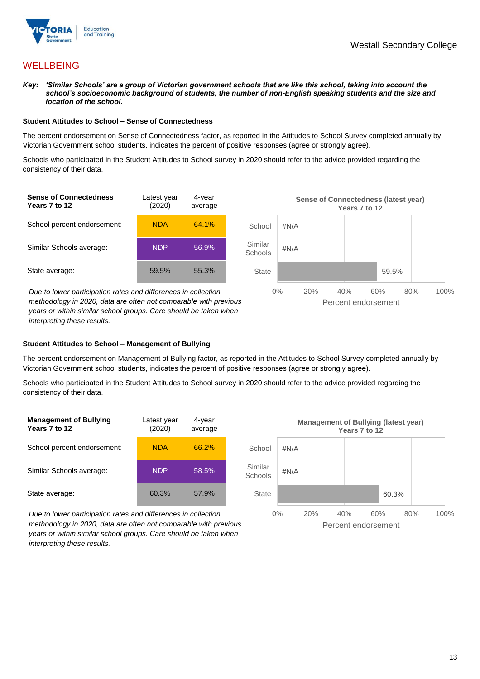

## **WELLBEING**

*Key: 'Similar Schools' are a group of Victorian government schools that are like this school, taking into account the school's socioeconomic background of students, the number of non-English speaking students and the size and location of the school.*

### **Student Attitudes to School – Sense of Connectedness**

The percent endorsement on Sense of Connectedness factor, as reported in the Attitudes to School Survey completed annually by Victorian Government school students, indicates the percent of positive responses (agree or strongly agree).

Schools who participated in the Student Attitudes to School survey in 2020 should refer to the advice provided regarding the consistency of their data.



### **Student Attitudes to School – Management of Bullying**

The percent endorsement on Management of Bullying factor, as reported in the Attitudes to School Survey completed annually by Victorian Government school students, indicates the percent of positive responses (agree or strongly agree).

Schools who participated in the Student Attitudes to School survey in 2020 should refer to the advice provided regarding the consistency of their data.

| Latest year<br>(2020) | 4-year<br>average |  |
|-----------------------|-------------------|--|
| <b>NDA</b>            | 66.2%             |  |
| <b>NDP</b>            | 58.5%             |  |
| 60.3%                 | 57.9%             |  |
|                       |                   |  |

*Due to lower participation rates and differences in collection methodology in 2020, data are often not comparable with previous years or within similar school groups. Care should be taken when interpreting these results.*

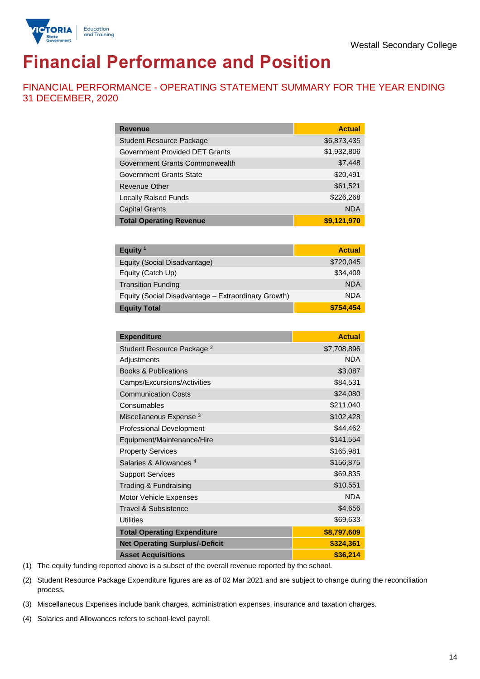

# **Financial Performance and Position**

FINANCIAL PERFORMANCE - OPERATING STATEMENT SUMMARY FOR THE YEAR ENDING 31 DECEMBER, 2020

| <b>Revenue</b>                  | <b>Actual</b> |
|---------------------------------|---------------|
| <b>Student Resource Package</b> | \$6,873,435   |
| Government Provided DET Grants  | \$1,932,806   |
| Government Grants Commonwealth  | \$7,448       |
| Government Grants State         | \$20,491      |
| Revenue Other                   | \$61,521      |
| <b>Locally Raised Funds</b>     | \$226,268     |
| <b>Capital Grants</b>           | <b>NDA</b>    |
| <b>Total Operating Revenue</b>  | \$9,121,970   |

| Equity <sup>1</sup>                                 | <b>Actual</b> |
|-----------------------------------------------------|---------------|
| Equity (Social Disadvantage)                        | \$720,045     |
| Equity (Catch Up)                                   | \$34,409      |
| <b>Transition Funding</b>                           | <b>NDA</b>    |
| Equity (Social Disadvantage - Extraordinary Growth) | <b>NDA</b>    |
| <b>Equity Total</b>                                 | \$754,454     |

| <b>Expenditure</b>                    | <b>Actual</b> |
|---------------------------------------|---------------|
| Student Resource Package <sup>2</sup> | \$7,708,896   |
| Adjustments                           | <b>NDA</b>    |
| <b>Books &amp; Publications</b>       | \$3,087       |
| Camps/Excursions/Activities           | \$84,531      |
| <b>Communication Costs</b>            | \$24,080      |
| Consumables                           | \$211,040     |
| Miscellaneous Expense <sup>3</sup>    | \$102,428     |
| <b>Professional Development</b>       | \$44,462      |
| Equipment/Maintenance/Hire            | \$141,554     |
| <b>Property Services</b>              | \$165,981     |
| Salaries & Allowances <sup>4</sup>    | \$156,875     |
| <b>Support Services</b>               | \$69,835      |
| Trading & Fundraising                 | \$10,551      |
| Motor Vehicle Expenses                | <b>NDA</b>    |
| Travel & Subsistence                  | \$4,656       |
| <b>Utilities</b>                      | \$69,633      |
| <b>Total Operating Expenditure</b>    | \$8,797,609   |
| <b>Net Operating Surplus/-Deficit</b> | \$324,361     |
| <b>Asset Acquisitions</b>             | \$36,214      |

(1) The equity funding reported above is a subset of the overall revenue reported by the school.

(2) Student Resource Package Expenditure figures are as of 02 Mar 2021 and are subject to change during the reconciliation process.

(3) Miscellaneous Expenses include bank charges, administration expenses, insurance and taxation charges.

(4) Salaries and Allowances refers to school-level payroll.